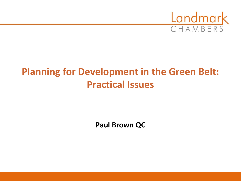

# **Planning for Development in the Green Belt: Practical Issues**

**Paul Brown QC**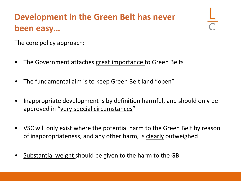# **Development in the Green Belt has never been easy…**

The core policy approach:

- The Government attaches great importance to Green Belts
- The fundamental aim is to keep Green Belt land "open"
- Inappropriate development is by definition harmful, and should only be approved in "very special circumstances"
- VSC will only exist where the potential harm to the Green Belt by reason of inappropriateness, and any other harm, is clearly outweighed
- Substantial weight should be given to the harm to the GB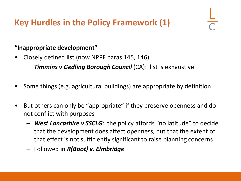#### **Key Hurdles in the Policy Framework (1)**

#### **"Inappropriate development"**

- Closely defined list (now NPPF paras 145, 146)
	- *Timmins v Gedling Borough Council* (CA): list is exhaustive
- Some things (e.g. agricultural buildings) are appropriate by definition
- But others can only be "appropriate" if they preserve openness and do not conflict with purposes
	- *West Lancashire v SSCLG*: the policy affords "no latitude" to decide that the development does affect openness, but that the extent of that effect is not sufficiently significant to raise planning concerns
	- Followed in *R(Boot) v. Elmbridge*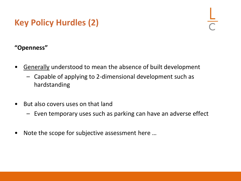### **Key Policy Hurdles (2)**

#### **"Openness"**

- Generally understood to mean the absence of built development
	- Capable of applying to 2-dimensional development such as hardstanding
- But also covers uses on that land
	- Even temporary uses such as parking can have an adverse effect
- Note the scope for subjective assessment here …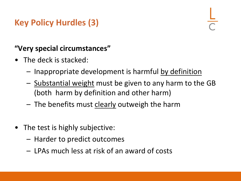#### **Key Policy Hurdles (3)**

#### **"Very special circumstances"**

- The deck is stacked:
	- Inappropriate development is harmful by definition
	- Substantial weight must be given to any harm to the GB (both harm by definition and other harm)
	- $-$  The benefits must clearly outweigh the harm
- The test is highly subjective:
	- Harder to predict outcomes
	- LPAs much less at risk of an award of costs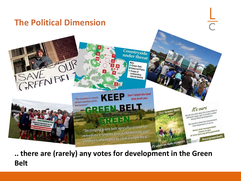

**.. there are (rarely) any votes for development in the Green Belt**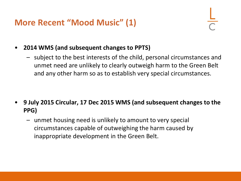- **2014 WMS (and subsequent changes to PPTS)**
	- subject to the best interests of the child, personal circumstances and unmet need are unlikely to clearly outweigh harm to the Green Belt and any other harm so as to establish very special circumstances.

- **9 July 2015 Circular, 17 Dec 2015 WMS (and subsequent changes to the PPG)** 
	- unmet housing need is unlikely to amount to very special circumstances capable of outweighing the harm caused by inappropriate development in the Green Belt.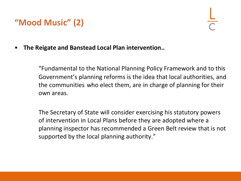#### **"Mood Music" (2)**

• **The Reigate and Banstead Local Plan intervention..**

"Fundamental to the National Planning Policy Framework and to this Government's planning reforms is the idea that local authorities, and the communities who elect them, are in charge of planning for their own areas.

The Secretary of State will consider exercising his statutory powers of intervention in Local Plans before they are adopted where a planning inspector has recommended a Green Belt review that is not supported by the local planning authority."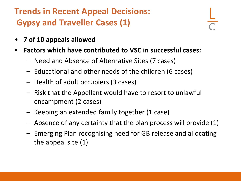## **Trends in Recent Appeal Decisions: Gypsy and Traveller Cases (1)**

- **7 of 10 appeals allowed**
- **Factors which have contributed to VSC in successful cases:**
	- Need and Absence of Alternative Sites (7 cases)
	- Educational and other needs of the children (6 cases)
	- Health of adult occupiers (3 cases)
	- Risk that the Appellant would have to resort to unlawful encampment (2 cases)
	- Keeping an extended family together (1 case)
	- Absence of any certainty that the plan process will provide (1)
	- Emerging Plan recognising need for GB release and allocating the appeal site (1)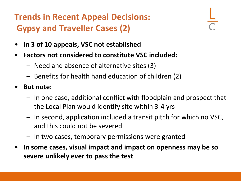# **Trends in Recent Appeal Decisions: Gypsy and Traveller Cases (2)**

- **In 3 of 10 appeals, VSC not established**
- **Factors not considered to constitute VSC included:**
	- Need and absence of alternative sites (3)
	- Benefits for health hand education of children (2)
- **But note:**
	- In one case, additional conflict with floodplain and prospect that the Local Plan would identify site within 3-4 yrs
	- In second, application included a transit pitch for which no VSC, and this could not be severed
	- In two cases, temporary permissions were granted
- **In some cases, visual impact and impact on openness may be so severe unlikely ever to pass the test**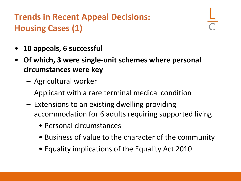# **Trends in Recent Appeal Decisions: Housing Cases (1)**

- **10 appeals, 6 successful**
- **Of which, 3 were single-unit schemes where personal circumstances were key**
	- Agricultural worker
	- Applicant with a rare terminal medical condition
	- Extensions to an existing dwelling providing accommodation for 6 adults requiring supported living
		- Personal circumstances
		- Business of value to the character of the community
		- Equality implications of the Equality Act 2010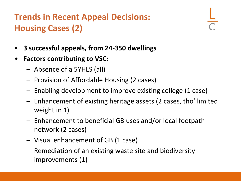# **Trends in Recent Appeal Decisions: Housing Cases (2)**

- **3 successful appeals, from 24-350 dwellings**
- **Factors contributing to VSC:**
	- Absence of a 5YHLS (all)
	- Provision of Affordable Housing (2 cases)
	- Enabling development to improve existing college (1 case)
	- Enhancement of existing heritage assets (2 cases, tho' limited weight in 1)
	- Enhancement to beneficial GB uses and/or local footpath network (2 cases)
	- Visual enhancement of GB (1 case)
	- Remediation of an existing waste site and biodiversity improvements (1)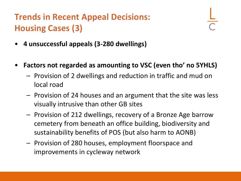# **Trends in Recent Appeal Decisions: Housing Cases (3)**

- **4 unsuccessful appeals (3-280 dwellings)**
- **Factors not regarded as amounting to VSC (even tho' no 5YHLS)**
	- Provision of 2 dwellings and reduction in traffic and mud on local road
	- Provision of 24 houses and an argument that the site was less visually intrusive than other GB sites
	- Provision of 212 dwellings, recovery of a Bronze Age barrow cemetery from beneath an office building, biodiversity and sustainability benefits of POS (but also harm to AONB)
	- Provision of 280 houses, employment floorspace and improvements in cycleway network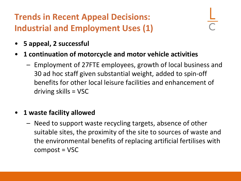**Trends in Recent Appeal Decisions: Industrial and Employment Uses (1)**

- **5 appeal, 2 successful**
- **1 continuation of motorcycle and motor vehicle activities**
	- Employment of 27FTE employees, growth of local business and 30 ad hoc staff given substantial weight, added to spin-off benefits for other local leisure facilities and enhancement of driving skills = VSC
- **1 waste facility allowed**
	- Need to support waste recycling targets, absence of other suitable sites, the proximity of the site to sources of waste and the environmental benefits of replacing artificial fertilises with compost = VSC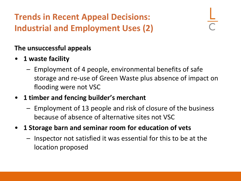**Trends in Recent Appeal Decisions: Industrial and Employment Uses (2)**

#### **The unsuccessful appeals**

- **1 waste facility**
	- Employment of 4 people, environmental benefits of safe storage and re-use of Green Waste plus absence of impact on flooding were not VSC
- **1 timber and fencing builder's merchant**
	- Employment of 13 people and risk of closure of the business because of absence of alternative sites not VSC
- **1 Storage barn and seminar room for education of vets**
	- Inspector not satisfied it was essential for this to be at the location proposed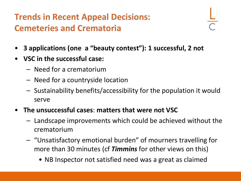## **Trends in Recent Appeal Decisions: Cemeteries and Crematoria**

- **3 applications (one a "beauty contest"): 1 successful, 2 not**
- **VSC in the successful case:**
	- Need for a crematorium
	- Need for a countryside location
	- Sustainability benefits/accessibility for the population it would serve
- **The unsuccessful cases**: **matters that were not VSC** 
	- Landscape improvements which could be achieved without the crematorium
	- "Unsatisfactory emotional burden" of mourners travelling for more than 30 minutes (cf *Timmins* for other views on this)
		- NB Inspector not satisfied need was a great as claimed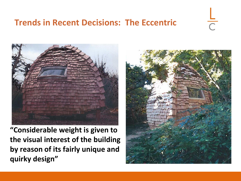#### **Trends in Recent Decisions: The Eccentric**



**"Considerable weight is given to the visual interest of the building by reason of its fairly unique and quirky design"**



 $\overline{\bigcap}$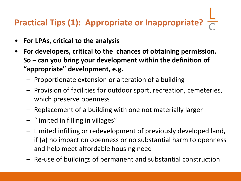# **Practical Tips (1): Appropriate or Inappropriate?**

- **For LPAs, critical to the analysis**
- **For developers, critical to the chances of obtaining permission. So – can you bring your development within the definition of "appropriate" development, e.g.**
	- Proportionate extension or alteration of a building
	- Provision of facilities for outdoor sport, recreation, cemeteries, which preserve openness
	- Replacement of a building with one not materially larger
	- "limited in filling in villages"
	- Limited infilling or redevelopment of previously developed land, if (a) no impact on openness or no substantial harm to openness and help meet affordable housing need
	- Re-use of buildings of permanent and substantial construction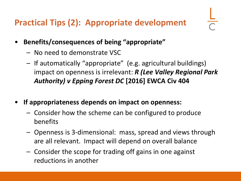## **Practical Tips (2): Appropriate development**

- **Benefits/consequences of being "appropriate"**
	- No need to demonstrate VSC
	- If automatically "appropriate" (e.g. agricultural buildings) impact on openness is irrelevant: *R (Lee Valley Regional Park Authority) v Epping Forest DC* **[2016] EWCA Civ 404**
- **If appropriateness depends on impact on openness:**
	- Consider how the scheme can be configured to produce benefits
	- Openness is 3-dimensional: mass, spread and views through are all relevant. Impact will depend on overall balance
	- Consider the scope for trading off gains in one against reductions in another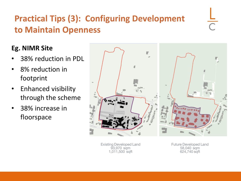# **Practical Tips (3): Configuring Development to Maintain Openness**

#### **Eg. NIMR Site**

- 38% reduction in PDL
- 8% reduction in footprint
- Enhanced visibility through the scheme
- 38% increase in floorspace



**Existing Developed Land** 93,970 sqm 1,011,500 sqft

Future Developed Land 58,040 sqm 624,740 sqft

 $\overline{\bigcap}$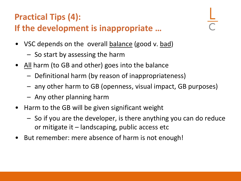# **Practical Tips (4):**

### **If the development is inappropriate …**

- VSC depends on the overall balance (good v. bad)
	- So start by assessing the harm
- All harm (to GB and other) goes into the balance
	- Definitional harm (by reason of inappropriateness)
	- any other harm to GB (openness, visual impact, GB purposes)
	- Any other planning harm
- Harm to the GB will be given significant weight
	- So if you are the developer, is there anything you can do reduce or mitigate it – landscaping, public access etc
- But remember: mere absence of harm is not enough!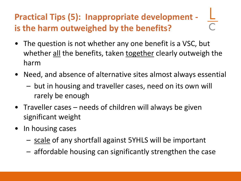# **Practical Tips (5): Inappropriate development is the harm outweighed by the benefits?**

- The question is not whether any one benefit is a VSC, but whether all the benefits, taken together clearly outweigh the harm
- Need, and absence of alternative sites almost always essential
	- but in housing and traveller cases, need on its own will rarely be enough
- Traveller cases needs of children will always be given significant weight
- In housing cases
	- scale of any shortfall against 5YHLS will be important
	- affordable housing can significantly strengthen the case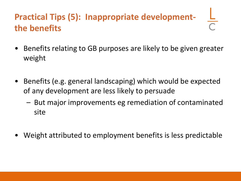# **Practical Tips (5): Inappropriate developmentthe benefits**

- Benefits relating to GB purposes are likely to be given greater weight
- Benefits (e.g. general landscaping) which would be expected of any development are less likely to persuade
	- But major improvements eg remediation of contaminated site
- Weight attributed to employment benefits is less predictable